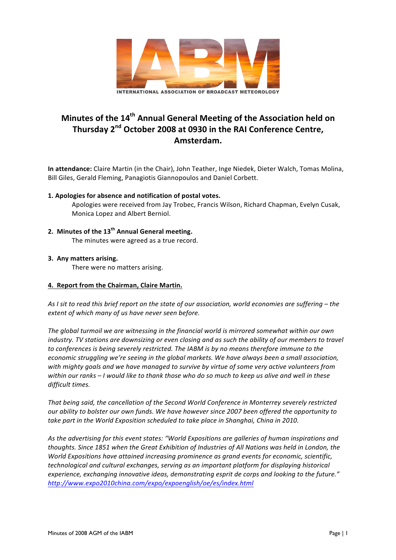

# **Minutes of the 14<sup>th</sup> Annual General Meeting of the Association held on** Thursday 2<sup>nd</sup> October 2008 at 0930 in the RAI Conference Centre, **Amsterdam.**

In attendance: Claire Martin (in the Chair), John Teather, Inge Niedek, Dieter Walch, Tomas Molina, Bill Giles, Gerald Fleming, Panagiotis Giannopoulos and Daniel Corbett.

## **1. Apologies for absence and notification of postal votes.**

Apologies were received from Jay Trobec, Francis Wilson, Richard Chapman, Evelyn Cusak, Monica Lopez and Albert Berniol.

**2. Minutes of the 13th Annual General meeting.** The minutes were agreed as a true record.

#### **3. Any matters arising.**

There were no matters arising.

#### **4. Report from the Chairman, Claire Martin.**

As I sit to read this brief report on the state of our association, world economies are suffering – the *extent of which many of us have never seen before.* 

The global turmoil we are witnessing in the financial world is mirrored somewhat within our own *industry.* TV stations are downsizing or even closing and as such the ability of our members to travel to conferences is being severely restricted. The IABM is by no means therefore immune to the *economic struggling we're seeing in the global markets. We have always been a small association,* with mighty goals and we have managed to survive by virtue of some very active volunteers from *within* our ranks – *I* would like to thank those who do so much to keep us alive and well in these difficult times.

That being said, the cancellation of the Second World Conference in Monterrey severely restricted *our* ability to bolster our own funds. We have however since 2007 been offered the opportunity to take part in the World Exposition scheduled to take place in Shanghai, China in 2010.

As the advertising for this event states: "World Expositions are galleries of human inspirations and thoughts. Since 1851 when the Great Exhibition of Industries of All Nations was held in London, the *World Expositions have attained increasing prominence as grand events for economic, scientific, technological and cultural exchanges, serving as an important platform for displaying historical* experience, exchanging innovative ideas, demonstrating esprit de corps and looking to the future." *http://www.expo2010china.com/expo/expoenglish/oe/es/index.html*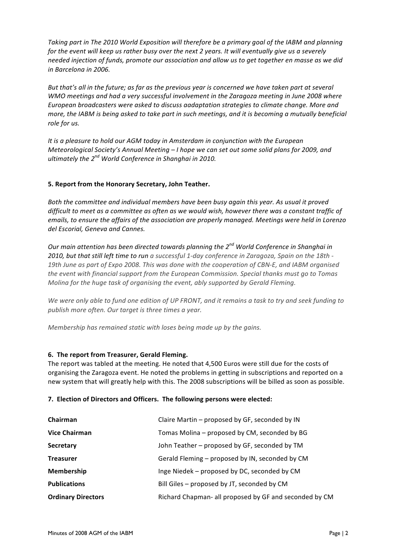Taking part in The 2010 World Exposition will therefore be a primary goal of the IABM and planning *for* the event will keep us rather busy over the next 2 years. It will eventually give us a severely needed injection of funds, promote our association and allow us to get together en masse as we did *in Barcelona in 2006.*

*But that's* all in the future; as far as the previous year is concerned we have taken part at several *WMO* meetings and had a very successful involvement in the Zaragoza meeting in June 2008 where European broadcasters were asked to discuss aadaptation strategies to climate change. More and *more, the IABM is being asked to take part in such meetings, and it is becoming a mutually beneficial* role for us.

*It* is a pleasure to hold our AGM today in Amsterdam in conjunction with the European *Meteorological Society's Annual Meeting* – *I* hope we can set out some solid plans for 2009, and *ultimately the*  $2^{nd}$  *World Conference in Shanghai in 2010.* 

#### **5. Report from the Honorary Secretary, John Teather.**

Both the committee and individual members have been busy again this year. As usual it proved *difficult* to meet as a committee as often as we would wish, however there was a constant traffic of *emails, to ensure the affairs of the association are properly managed. Meetings were held in Lorenzo* del Escorial, Geneva and Cannes.

*Our main attention has been directed towards planning the*  $2^{nd}$  *World Conference in Shanghai in* 2010, but that still left time to run a successful 1-day conference in Zaragoza, Spain on the 18th -19th June as part of Expo 2008. This was done with the cooperation of CBN-E, and IABM organised the event with financial support from the European Commission. Special thanks must go to Tomas *Molina for the huge task of organising the event, ably supported by Gerald Fleming.* 

We were only able to fund one edition of UP FRONT, and it remains a task to try and seek funding to publish more often. Our target is three times a year.

*Membership* has remained static with loses being made up by the gains.

### **6.** The report from Treasurer, Gerald Fleming.

The report was tabled at the meeting. He noted that 4,500 Euros were still due for the costs of organising the Zaragoza event. He noted the problems in getting in subscriptions and reported on a new system that will greatly help with this. The 2008 subscriptions will be billed as soon as possible.

#### **7. Election of Directors and Officers. The following persons were elected:**

| Chairman                  | Claire Martin - proposed by GF, seconded by IN         |
|---------------------------|--------------------------------------------------------|
| <b>Vice Chairman</b>      | Tomas Molina – proposed by CM, seconded by BG          |
| Secretary                 | John Teather - proposed by GF, seconded by TM          |
| <b>Treasurer</b>          | Gerald Fleming – proposed by IN, seconded by CM        |
| <b>Membership</b>         | Inge Niedek – proposed by DC, seconded by CM           |
| <b>Publications</b>       | Bill Giles – proposed by JT, seconded by CM            |
| <b>Ordinary Directors</b> | Richard Chapman- all proposed by GF and seconded by CM |